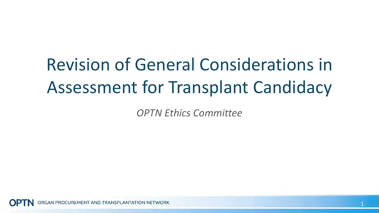# Revision of General Considerations in Assessment for Transplant Candidacy

*OPTN Ethics Committee*

GAN PROCUREMENT AND TRANSPLANTATION NETWORK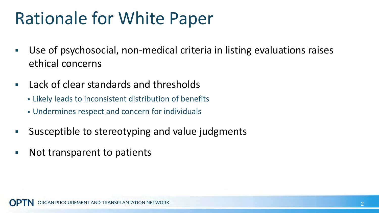#### Rationale for White Paper

- Use of psychosocial, non-medical criteria in listing evaluations raises ethical concerns
- **Lack of clear standards and thresholds** 
	- Likely leads to inconsistent distribution of benefits
	- Undermines respect and concern for individuals
- Susceptible to stereotyping and value judgments
- Not transparent to patients

AN PROCUREMENT AND TRANSPLANTATION NETWORK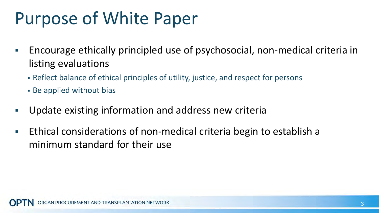### Purpose of White Paper

- **Encourage ethically principled use of psychosocial, non-medical criteria in** listing evaluations
	- Reflect balance of ethical principles of utility, justice, and respect for persons
	- Be applied without bias
- Update existing information and address new criteria
- **Ethical considerations of non-medical criteria begin to establish a** minimum standard for their use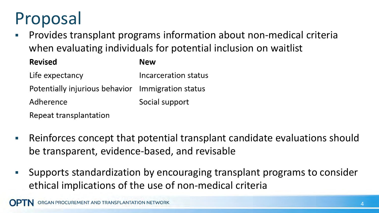# Proposal

 Provides transplant programs information about non-medical criteria when evaluating individuals for potential inclusion on waitlist

| <b>Revised</b>                                    | <b>New</b>           |
|---------------------------------------------------|----------------------|
| Life expectancy                                   | Incarceration status |
| Potentially injurious behavior Immigration status |                      |
| Adherence                                         | Social support       |
| Repeat transplantation                            |                      |

- Reinforces concept that potential transplant candidate evaluations should be transparent, evidence-based, and revisable
- Supports standardization by encouraging transplant programs to consider ethical implications of the use of non-medical criteria